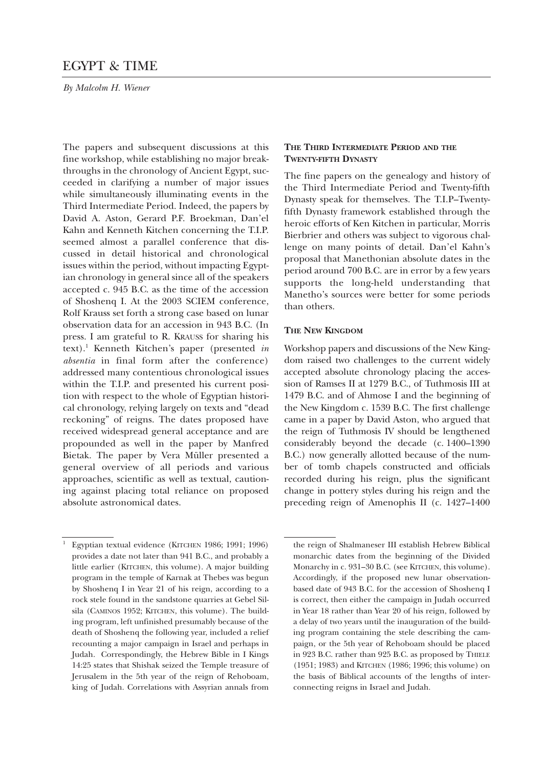## *By Malcolm H. Wiener*

The papers and subsequent discussions at this fine workshop, while establishing no major breakthroughs in the chronology of Ancient Egypt, succeeded in clarifying a number of major issues while simultaneously illuminating events in the Third Intermediate Period. Indeed, the papers by David A. Aston, Gerard P.F. Broekman, Dan'el Kahn and Kenneth Kitchen concerning the T.I.P. seemed almost a parallel conference that discussed in detail historical and chronological issues within the period, without impacting Egyptian chronology in general since all of the speakers accepted c. 945 B.C. as the time of the accession of Shoshenq I. At the 2003 SCIEM conference, Rolf Krauss set forth a strong case based on lunar observation data for an accession in 943 B.C. (In press. I am grateful to R. KRAUSS for sharing his text).1 Kenneth Kitchen's paper (presented *in absentia* in final form after the conference) addressed many contentious chronological issues within the T.I.P. and presented his current position with respect to the whole of Egyptian historical chronology, relying largely on texts and "dead reckoning" of reigns. The dates proposed have received widespread general acceptance and are propounded as well in the paper by Manfred Bietak. The paper by Vera Müller presented a general overview of all periods and various approaches, scientific as well as textual, cautioning against placing total reliance on proposed absolute astronomical dates.

# **THE THIRD INTERMEDIATE PERIOD AND THE TWENTY-FIFTH DYNASTY**

The fine papers on the genealogy and history of the Third Intermediate Period and Twenty-fifth Dynasty speak for themselves. The T.I.P–Twentyfifth Dynasty framework established through the heroic efforts of Ken Kitchen in particular, Morris Bierbrier and others was subject to vigorous challenge on many points of detail. Dan'el Kahn's proposal that Manethonian absolute dates in the period around 700 B.C. are in error by a few years supports the long-held understanding that Manetho's sources were better for some periods than others.

### **THE NEW KINGDOM**

Workshop papers and discussions of the New Kingdom raised two challenges to the current widely accepted absolute chronology placing the accession of Ramses II at 1279 B.C., of Tuthmosis III at 1479 B.C. and of Ahmose I and the beginning of the New Kingdom c. 1539 B.C. The first challenge came in a paper by David Aston, who argued that the reign of Tuthmosis IV should be lengthened considerably beyond the decade (c. 1400–1390 B.C.) now generally allotted because of the number of tomb chapels constructed and officials recorded during his reign, plus the significant change in pottery styles during his reign and the preceding reign of Amenophis II (c. 1427–1400

<sup>1</sup> Egyptian textual evidence (KITCHEN 1986; 1991; 1996) provides a date not later than 941 B.C., and probably a little earlier (KITCHEN, this volume). A major building program in the temple of Karnak at Thebes was begun by Shoshenq I in Year 21 of his reign, according to a rock stele found in the sandstone quarries at Gebel Silsila (CAMINOS 1952; KITCHEN, this volume). The building program, left unfinished presumably because of the death of Shoshenq the following year, included a relief recounting a major campaign in Israel and perhaps in Judah. Correspondingly, the Hebrew Bible in I Kings 14:25 states that Shishak seized the Temple treasure of Jerusalem in the 5th year of the reign of Rehoboam, king of Judah. Correlations with Assyrian annals from

the reign of Shalmaneser III establish Hebrew Biblical monarchic dates from the beginning of the Divided Monarchy in c. 931-30 B.C. (see KITCHEN, this volume). Accordingly, if the proposed new lunar observationbased date of 943 B.C. for the accession of Shoshenq I is correct, then either the campaign in Judah occurred in Year 18 rather than Year 20 of his reign, followed by a delay of two years until the inauguration of the building program containing the stele describing the campaign, or the 5th year of Rehoboam should be placed in 923 B.C. rather than 925 B.C. as proposed by THIELE (1951; 1983) and KITCHEN (1986; 1996; this volume) on the basis of Biblical accounts of the lengths of interconnecting reigns in Israel and Judah.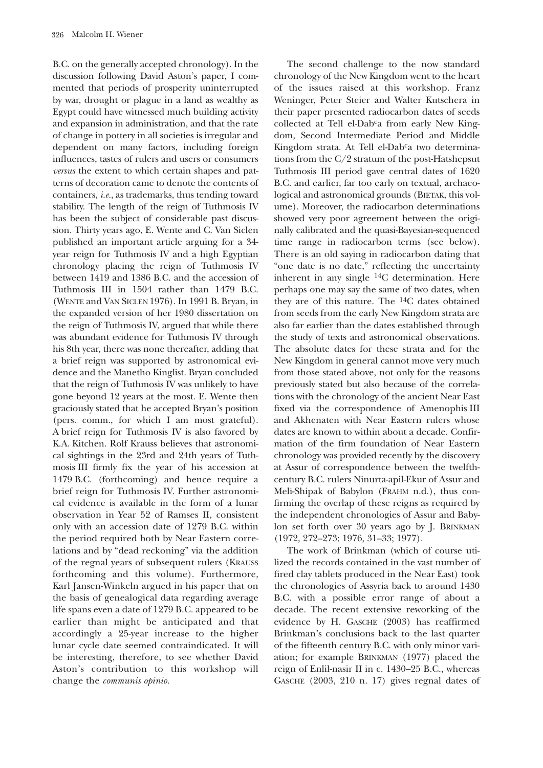B.C. on the generally accepted chronology). In the discussion following David Aston's paper, I commented that periods of prosperity uninterrupted by war, drought or plague in a land as wealthy as Egypt could have witnessed much building activity and expansion in administration, and that the rate of change in pottery in all societies is irregular and dependent on many factors, including foreign influences, tastes of rulers and users or consumers *versus* the extent to which certain shapes and patterns of decoration came to denote the contents of containers, *i.e.*, as trademarks, thus tending toward stability. The length of the reign of Tuthmosis IV has been the subject of considerable past discussion. Thirty years ago, E. Wente and C. Van Siclen published an important article arguing for a 34 year reign for Tuthmosis IV and a high Egyptian chronology placing the reign of Tuthmosis IV between 1419 and 1386 B.C. and the accession of Tuthmosis III in 1504 rather than 1479 B.C. (WENTE and VAN SICLEN 1976). In 1991 B. Bryan, in the expanded version of her 1980 dissertation on the reign of Tuthmosis IV, argued that while there was abundant evidence for Tuthmosis IV through his 8th year, there was none thereafter, adding that a brief reign was supported by astronomical evidence and the Manetho Kinglist. Bryan concluded that the reign of Tuthmosis IV was unlikely to have gone beyond 12 years at the most. E. Wente then graciously stated that he accepted Bryan's position (pers. comm., for which I am most grateful). A brief reign for Tuthmosis IV is also favored by K.A. Kitchen. Rolf Krauss believes that astronomical sightings in the 23rd and 24th years of Tuthmosis III firmly fix the year of his accession at 1479 B.C. (forthcoming) and hence require a brief reign for Tuthmosis IV. Further astronomical evidence is available in the form of a lunar observation in Year 52 of Ramses II, consistent only with an accession date of 1279 B.C. within the period required both by Near Eastern correlations and by "dead reckoning" via the addition of the regnal years of subsequent rulers (KRAUSS forthcoming and this volume). Furthermore, Karl Jansen-Winkeln argued in his paper that on the basis of genealogical data regarding average life spans even a date of 1279 B.C. appeared to be earlier than might be anticipated and that accordingly a 25-year increase to the higher lunar cycle date seemed contraindicated. It will be interesting, therefore, to see whether David Aston's contribution to this workshop will change the *communis opinio*.

The second challenge to the now standard chronology of the New Kingdom went to the heart of the issues raised at this workshop. Franz Weninger, Peter Steier and Walter Kutschera in their paper presented radiocarbon dates of seeds collected at Tell el-Dab<sup>c</sup>a from early New Kingdom, Second Intermediate Period and Middle Kingdom strata. At Tell el-Dab<sup>c</sup>a two determinations from the C/2 stratum of the post-Hatshepsut Tuthmosis III period gave central dates of 1620 B.C. and earlier, far too early on textual, archaeological and astronomical grounds (BIETAK, this volume). Moreover, the radiocarbon determinations showed very poor agreement between the originally calibrated and the quasi-Bayesian-sequenced time range in radiocarbon terms (see below). There is an old saying in radiocarbon dating that "one date is no date," reflecting the uncertainty inherent in any single 14C determination. Here perhaps one may say the same of two dates, when they are of this nature. The 14C dates obtained from seeds from the early New Kingdom strata are also far earlier than the dates established through the study of texts and astronomical observations. The absolute dates for these strata and for the New Kingdom in general cannot move very much from those stated above, not only for the reasons previously stated but also because of the correlations with the chronology of the ancient Near East fixed via the correspondence of Amenophis III and Akhenaten with Near Eastern rulers whose dates are known to within about a decade. Confirmation of the firm foundation of Near Eastern chronology was provided recently by the discovery at Assur of correspondence between the twelfthcentury B.C. rulers Ninurta-apil-Ekur of Assur and Meli-Shipak of Babylon (FRAHM n.d.), thus confirming the overlap of these reigns as required by the independent chronologies of Assur and Babylon set forth over 30 years ago by J. BRINKMAN (1972, 272–273; 1976, 31–33; 1977).

The work of Brinkman (which of course utilized the records contained in the vast number of fired clay tablets produced in the Near East) took the chronologies of Assyria back to around 1430 B.C. with a possible error range of about a decade. The recent extensive reworking of the evidence by H. GASCHE (2003) has reaffirmed Brinkman's conclusions back to the last quarter of the fifteenth century B.C. with only minor variation; for example BRINKMAN (1977) placed the reign of Enlil-nasir II in c. 1430–25 B.C., whereas GASCHE (2003, 210 n. 17) gives regnal dates of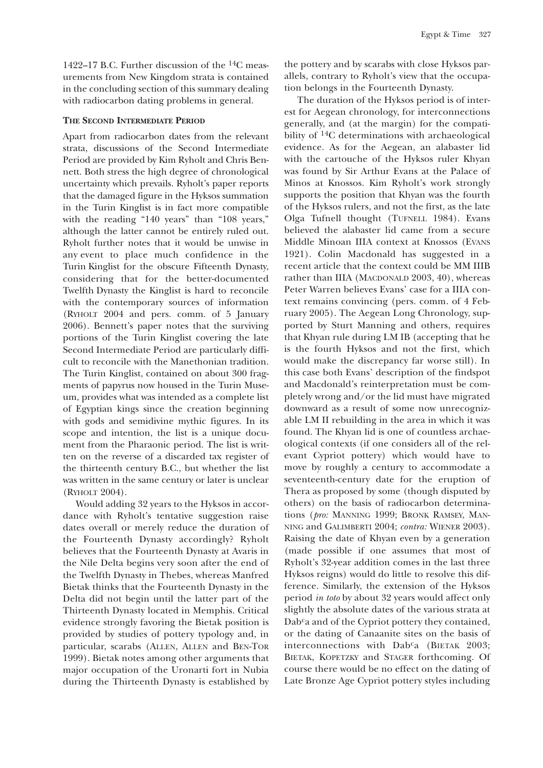1422–17 B.C. Further discussion of the 14C measurements from New Kingdom strata is contained in the concluding section of this summary dealing with radiocarbon dating problems in general.

### **THE SECOND INTERMEDIATE PERIOD**

Apart from radiocarbon dates from the relevant strata, discussions of the Second Intermediate Period are provided by Kim Ryholt and Chris Bennett. Both stress the high degree of chronological uncertainty which prevails. Ryholt's paper reports that the damaged figure in the Hyksos summation in the Turin Kinglist is in fact more compatible with the reading "140 years" than "108 years," although the latter cannot be entirely ruled out. Ryholt further notes that it would be unwise in any event to place much confidence in the Turin Kinglist for the obscure Fifteenth Dynasty, considering that for the better-documented Twelfth Dynasty the Kinglist is hard to reconcile with the contemporary sources of information (RYHOLT 2004 and pers. comm. of 5 January 2006). Bennett's paper notes that the surviving portions of the Turin Kinglist covering the late Second Intermediate Period are particularly difficult to reconcile with the Manethonian tradition. The Turin Kinglist, contained on about 300 fragments of papyrus now housed in the Turin Museum, provides what was intended as a complete list of Egyptian kings since the creation beginning with gods and semidivine mythic figures. In its scope and intention, the list is a unique document from the Pharaonic period. The list is written on the reverse of a discarded tax register of the thirteenth century B.C., but whether the list was written in the same century or later is unclear (RYHOLT 2004).

Would adding 32 years to the Hyksos in accordance with Ryholt's tentative suggestion raise dates overall or merely reduce the duration of the Fourteenth Dynasty accordingly? Ryholt believes that the Fourteenth Dynasty at Avaris in the Nile Delta begins very soon after the end of the Twelfth Dynasty in Thebes, whereas Manfred Bietak thinks that the Fourteenth Dynasty in the Delta did not begin until the latter part of the Thirteenth Dynasty located in Memphis. Critical evidence strongly favoring the Bietak position is provided by studies of pottery typology and, in particular, scarabs (ALLEN, ALLEN and BEN-TOR 1999). Bietak notes among other arguments that major occupation of the Uronarti fort in Nubia during the Thirteenth Dynasty is established by the pottery and by scarabs with close Hyksos parallels, contrary to Ryholt's view that the occupation belongs in the Fourteenth Dynasty.

The duration of the Hyksos period is of interest for Aegean chronology, for interconnections generally, and (at the margin) for the compatibility of 14C determinations with archaeological evidence. As for the Aegean, an alabaster lid with the cartouche of the Hyksos ruler Khyan was found by Sir Arthur Evans at the Palace of Minos at Knossos. Kim Ryholt's work strongly supports the position that Khyan was the fourth of the Hyksos rulers, and not the first, as the late Olga Tufnell thought (TUFNELL 1984). Evans believed the alabaster lid came from a secure Middle Minoan IIIA context at Knossos (EVANS 1921). Colin Macdonald has suggested in a recent article that the context could be MM IIIB rather than IIIA (MACDONALD 2003, 40), whereas Peter Warren believes Evans' case for a IIIA context remains convincing (pers. comm. of 4 February 2005). The Aegean Long Chronology, supported by Sturt Manning and others, requires that Khyan rule during LM IB (accepting that he is the fourth Hyksos and not the first, which would make the discrepancy far worse still). In this case both Evans' description of the findspot and Macdonald's reinterpretation must be completely wrong and/or the lid must have migrated downward as a result of some now unrecognizable LM II rebuilding in the area in which it was found. The Khyan lid is one of countless archaeological contexts (if one considers all of the relevant Cypriot pottery) which would have to move by roughly a century to accommodate a seventeenth-century date for the eruption of Thera as proposed by some (though disputed by others) on the basis of radiocarbon determinations (*pro:* MANNING 1999; BRONK RAMSEY, MAN-NING and GALIMBERTI 2004; *contra:* WIENER 2003). Raising the date of Khyan even by a generation (made possible if one assumes that most of Ryholt's 32-year addition comes in the last three Hyksos reigns) would do little to resolve this difference. Similarly, the extension of the Hyksos period *in toto* by about 32 years would affect only slightly the absolute dates of the various strata at Dab<sup>c</sup>a and of the Cypriot pottery they contained, or the dating of Canaanite sites on the basis of interconnections with Dab<sup>c</sup>a (BIETAK 2003; BIETAK, KOPETZKY and STAGER forthcoming. Of course there would be no effect on the dating of Late Bronze Age Cypriot pottery styles including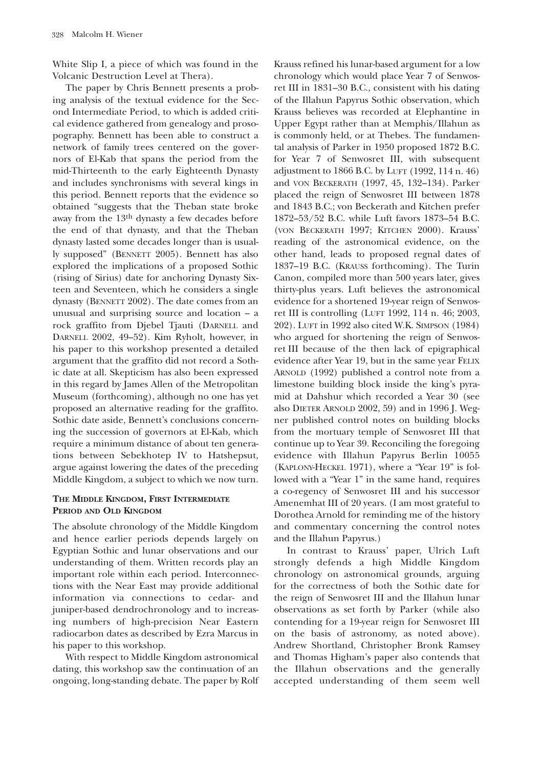White Slip I, a piece of which was found in the Volcanic Destruction Level at Thera).

The paper by Chris Bennett presents a probing analysis of the textual evidence for the Second Intermediate Period, to which is added critical evidence gathered from genealogy and prosopography. Bennett has been able to construct a network of family trees centered on the governors of El-Kab that spans the period from the mid-Thirteenth to the early Eighteenth Dynasty and includes synchronisms with several kings in this period. Bennett reports that the evidence so obtained "suggests that the Theban state broke away from the 13th dynasty a few decades before the end of that dynasty, and that the Theban dynasty lasted some decades longer than is usually supposed" (BENNETT 2005). Bennett has also explored the implications of a proposed Sothic (rising of Sirius) date for anchoring Dynasty Sixteen and Seventeen, which he considers a single dynasty (BENNETT 2002). The date comes from an unusual and surprising source and location – a rock graffito from Djebel Tjauti (DARNELL and DARNELL 2002, 49–52). Kim Ryholt, however, in his paper to this workshop presented a detailed argument that the graffito did not record a Sothic date at all. Skepticism has also been expressed in this regard by James Allen of the Metropolitan Museum (forthcoming), although no one has yet proposed an alternative reading for the graffito. Sothic date aside, Bennett's conclusions concerning the succession of governors at El-Kab, which require a minimum distance of about ten generations between Sebekhotep IV to Hatshepsut, argue against lowering the dates of the preceding Middle Kingdom, a subject to which we now turn.

# **THE MIDDLE KINGDOM, FIRST INTERMEDIATE PERIOD AND OLD KINGDOM**

The absolute chronology of the Middle Kingdom and hence earlier periods depends largely on Egyptian Sothic and lunar observations and our understanding of them. Written records play an important role within each period. Interconnections with the Near East may provide additional information via connections to cedar- and juniper-based dendrochronology and to increasing numbers of high-precision Near Eastern radiocarbon dates as described by Ezra Marcus in his paper to this workshop.

With respect to Middle Kingdom astronomical dating, this workshop saw the continuation of an ongoing, long-standing debate. The paper by Rolf

Krauss refined his lunar-based argument for a low chronology which would place Year 7 of Senwosret III in 1831–30 B.C., consistent with his dating of the Illahun Papyrus Sothic observation, which Krauss believes was recorded at Elephantine in Upper Egypt rather than at Memphis/Illahun as is commonly held, or at Thebes. The fundamental analysis of Parker in 1950 proposed 1872 B.C. for Year 7 of Senwosret III, with subsequent adjustment to 1866 B.C. by LUFT (1992, 114 n. 46) and VON BECKERATH (1997, 45, 132–134). Parker placed the reign of Senwosret III between 1878 and 1843 B.C.; von Beckerath and Kitchen prefer 1872–53/52 B.C. while Luft favors 1873–54 B.C. (VON BECKERATH 1997; KITCHEN 2000). Krauss' reading of the astronomical evidence, on the other hand, leads to proposed regnal dates of 1837–19 B.C. (KRAUSS forthcoming). The Turin Canon, compiled more than 500 years later, gives thirty-plus years. Luft believes the astronomical evidence for a shortened 19-year reign of Senwosret III is controlling (LUFT 1992, 114 n. 46; 2003, 202). LUFT in 1992 also cited W.K. SIMPSON (1984) who argued for shortening the reign of Senwosret III because of the then lack of epigraphical evidence after Year 19, but in the same year FELIX ARNOLD (1992) published a control note from a limestone building block inside the king's pyramid at Dahshur which recorded a Year 30 (see also DIETER ARNOLD 2002, 59) and in 1996 J. Wegner published control notes on building blocks from the mortuary temple of Senwosret III that continue up to Year 39. Reconciling the foregoing evidence with Illahun Papyrus Berlin 10055 (KAPLONY-HECKEL 1971), where a "Year 19" is followed with a "Year 1" in the same hand, requires a co-regency of Senwosret III and his successor Amenemhat III of 20 years. (I am most grateful to Dorothea Arnold for reminding me of the history and commentary concerning the control notes and the Illahun Papyrus.)

In contrast to Krauss' paper, Ulrich Luft strongly defends a high Middle Kingdom chronology on astronomical grounds, arguing for the correctness of both the Sothic date for the reign of Senwosret III and the Illahun lunar observations as set forth by Parker (while also contending for a 19-year reign for Senwosret III on the basis of astronomy, as noted above). Andrew Shortland, Christopher Bronk Ramsey and Thomas Higham's paper also contends that the Illahun observations and the generally accepted understanding of them seem well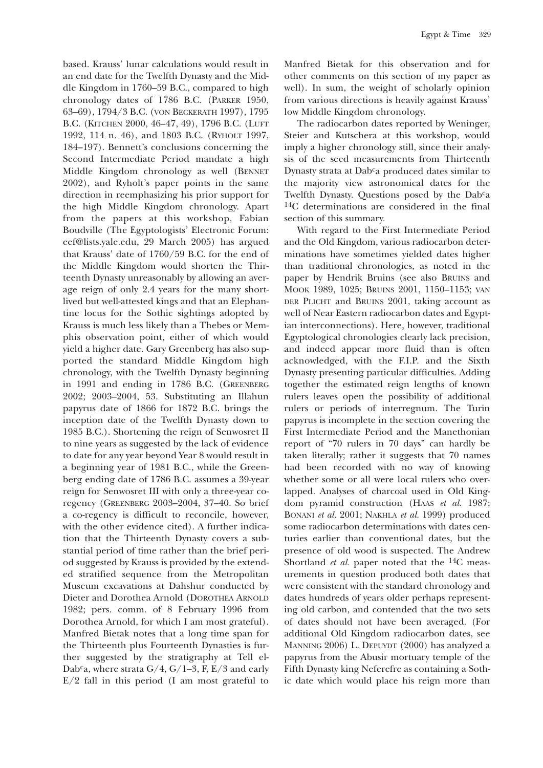based. Krauss' lunar calculations would result in an end date for the Twelfth Dynasty and the Middle Kingdom in 1760–59 B.C., compared to high chronology dates of 1786 B.C. (PARKER 1950, 63–69), 1794/3 B.C. (VON BECKERATH 1997), 1795 B.C. (KITCHEN 2000, 46–47, 49), 1796 B.C. (LUFT 1992, 114 n. 46), and 1803 B.C. (RYHOLT 1997, 184–197). Bennett's conclusions concerning the Second Intermediate Period mandate a high Middle Kingdom chronology as well (BENNET 2002), and Ryholt's paper points in the same direction in reemphasizing his prior support for the high Middle Kingdom chronology. Apart from the papers at this workshop, Fabian Boudville (The Egyptologists' Electronic Forum: eef@lists.yale.edu, 29 March 2005) has argued that Krauss' date of 1760/59 B.C. for the end of the Middle Kingdom would shorten the Thirteenth Dynasty unreasonably by allowing an average reign of only 2.4 years for the many shortlived but well-attested kings and that an Elephantine locus for the Sothic sightings adopted by Krauss is much less likely than a Thebes or Memphis observation point, either of which would yield a higher date. Gary Greenberg has also supported the standard Middle Kingdom high chronology, with the Twelfth Dynasty beginning in 1991 and ending in 1786 B.C. (GREENBERG 2002; 2003–2004, 53. Substituting an Illahun papyrus date of 1866 for 1872 B.C. brings the inception date of the Twelfth Dynasty down to 1985 B.C.). Shortening the reign of Senwosret II to nine years as suggested by the lack of evidence to date for any year beyond Year 8 would result in a beginning year of 1981 B.C., while the Greenberg ending date of 1786 B.C. assumes a 39-year reign for Senwosret III with only a three-year coregency (GREENBERG 2003–2004, 37–40. So brief a co-regency is difficult to reconcile, however, with the other evidence cited). A further indication that the Thirteenth Dynasty covers a substantial period of time rather than the brief period suggested by Krauss is provided by the extended stratified sequence from the Metropolitan Museum excavations at Dahshur conducted by Dieter and Dorothea Arnold (DOROTHEA ARNOLD 1982; pers. comm. of 8 February 1996 from Dorothea Arnold, for which I am most grateful). Manfred Bietak notes that a long time span for the Thirteenth plus Fourteenth Dynasties is further suggested by the stratigraphy at Tell el-Dab<sup>c</sup>a, where strata  $G/4$ ,  $G/1-3$ , F, E/3 and early  $E/2$  fall in this period (I am most grateful to Manfred Bietak for this observation and for other comments on this section of my paper as well). In sum, the weight of scholarly opinion from various directions is heavily against Krauss' low Middle Kingdom chronology.

The radiocarbon dates reported by Weninger, Steier and Kutschera at this workshop, would imply a higher chronology still, since their analysis of the seed measurements from Thirteenth Dynasty strata at Dab<sup>c</sup>a produced dates similar to the majority view astronomical dates for the Twelfth Dynasty. Questions posed by the Dab<sup>c</sup>a 14C determinations are considered in the final section of this summary.

With regard to the First Intermediate Period and the Old Kingdom, various radiocarbon determinations have sometimes yielded dates higher than traditional chronologies, as noted in the paper by Hendrik Bruins (see also BRUINS and MOOK 1989, 1025; BRUINS 2001, 1150–1153; VAN DER PLICHT and BRUINS 2001, taking account as well of Near Eastern radiocarbon dates and Egyptian interconnections). Here, however, traditional Egyptological chronologies clearly lack precision, and indeed appear more fluid than is often acknowledged, with the F.I.P. and the Sixth Dynasty presenting particular difficulties. Adding together the estimated reign lengths of known rulers leaves open the possibility of additional rulers or periods of interregnum. The Turin papyrus is incomplete in the section covering the First Intermediate Period and the Manethonian report of "70 rulers in 70 days" can hardly be taken literally; rather it suggests that 70 names had been recorded with no way of knowing whether some or all were local rulers who overlapped. Analyses of charcoal used in Old Kingdom pyramid construction (HAAS *et al.* 1987; BONANI *et al.* 2001; NAKHLA *et al.* 1999) produced some radiocarbon determinations with dates centuries earlier than conventional dates, but the presence of old wood is suspected. The Andrew Shortland *et al.* paper noted that the 14C measurements in question produced both dates that were consistent with the standard chronology and dates hundreds of years older perhaps representing old carbon, and contended that the two sets of dates should not have been averaged. (For additional Old Kingdom radiocarbon dates, see MANNING 2006) L. DEPUYDT (2000) has analyzed a papyrus from the Abusir mortuary temple of the Fifth Dynasty king Neferefre as containing a Sothic date which would place his reign more than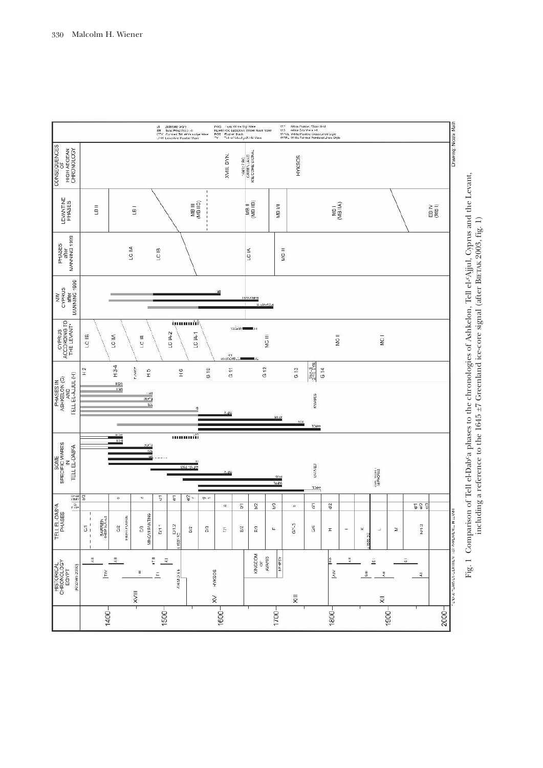

Fig. 1 Comparison of Tell el-Dab<sup>c</sup>a phases to the chronologies of Ashkelon, Tell el-<sup>c</sup>Ajjul, Cyprus and the Levant,<br>including a reference to the 1645 ±7 Greenland ice-core signal (after BIETAK 2003, fig. 1) Fig. 1 Comparison of Tell el-Dabca phases to the chronologies of Ashkelon, Tell el-cAjjul, Cyprus and the Levant, including a reference to the 1645 ±7 Greenland ice-core signal (after BIETAK 2003, fig. 1)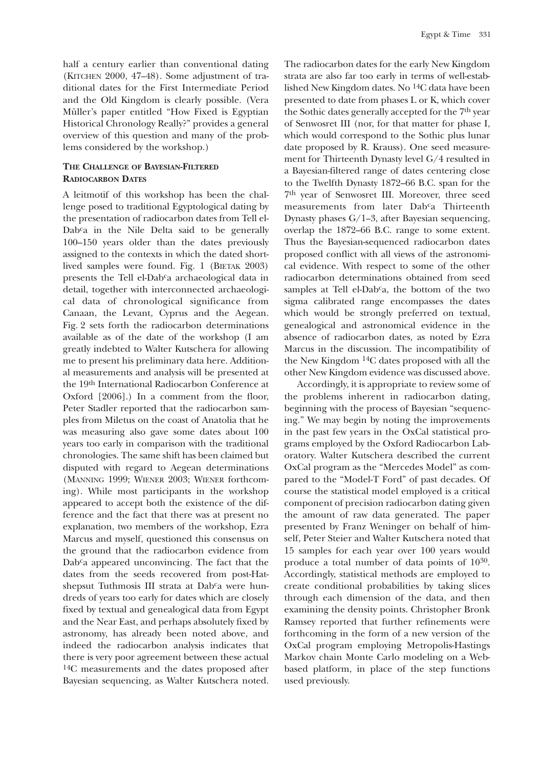half a century earlier than conventional dating (KITCHEN 2000, 47–48). Some adjustment of traditional dates for the First Intermediate Period and the Old Kingdom is clearly possible. (Vera Müller's paper entitled "How Fixed is Egyptian Historical Chronology Really?" provides a general overview of this question and many of the problems considered by the workshop.)

### **THE CHALLENGE OF BAYESIAN-FILTERED RADIOCARBON DATES**

A leitmotif of this workshop has been the challenge posed to traditional Egyptological dating by the presentation of radiocarbon dates from Tell el-Dab<sup>c</sup>a in the Nile Delta said to be generally 100–150 years older than the dates previously assigned to the contexts in which the dated shortlived samples were found. Fig. 1 (BIETAK 2003) presents the Tell el-Dabca archaeological data in detail, together with interconnected archaeological data of chronological significance from Canaan, the Levant, Cyprus and the Aegean. Fig. 2 sets forth the radiocarbon determinations available as of the date of the workshop (I am greatly indebted to Walter Kutschera for allowing me to present his preliminary data here. Additional measurements and analysis will be presented at the 19th International Radiocarbon Conference at Oxford [2006].) In a comment from the floor, Peter Stadler reported that the radiocarbon samples from Miletus on the coast of Anatolia that he was measuring also gave some dates about 100 years too early in comparison with the traditional chronologies. The same shift has been claimed but disputed with regard to Aegean determinations (MANNING 1999; WIENER 2003; WIENER forthcoming). While most participants in the workshop appeared to accept both the existence of the difference and the fact that there was at present no explanation, two members of the workshop, Ezra Marcus and myself, questioned this consensus on the ground that the radiocarbon evidence from Dab<sup>c</sup>a appeared unconvincing. The fact that the dates from the seeds recovered from post-Hatshepsut Tuthmosis III strata at Dab<sup>c</sup>a were hundreds of years too early for dates which are closely fixed by textual and genealogical data from Egypt and the Near East, and perhaps absolutely fixed by astronomy, has already been noted above, and indeed the radiocarbon analysis indicates that there is very poor agreement between these actual 14C measurements and the dates proposed after Bayesian sequencing, as Walter Kutschera noted. The radiocarbon dates for the early New Kingdom strata are also far too early in terms of well-established New Kingdom dates. No 14C data have been presented to date from phases L or K, which cover the Sothic dates generally accepted for the 7th year of Senwosret III (nor, for that matter for phase I, which would correspond to the Sothic plus lunar date proposed by R. Krauss). One seed measurement for Thirteenth Dynasty level G/4 resulted in a Bayesian-filtered range of dates centering close to the Twelfth Dynasty 1872–66 B.C. span for the 7th year of Senwosret III. Moreover, three seed measurements from later Dab<sup>c</sup>a Thirteenth Dynasty phases G/1–3, after Bayesian sequencing, overlap the 1872–66 B.C. range to some extent. Thus the Bayesian-sequenced radiocarbon dates proposed conflict with all views of the astronomical evidence. With respect to some of the other radiocarbon determinations obtained from seed samples at Tell el-Dab<sup>c</sup>a, the bottom of the two sigma calibrated range encompasses the dates which would be strongly preferred on textual, genealogical and astronomical evidence in the absence of radiocarbon dates, as noted by Ezra Marcus in the discussion. The incompatibility of the New Kingdom 14C dates proposed with all the other New Kingdom evidence was discussed above.

Accordingly, it is appropriate to review some of the problems inherent in radiocarbon dating, beginning with the process of Bayesian "sequencing." We may begin by noting the improvements in the past few years in the OxCal statistical programs employed by the Oxford Radiocarbon Laboratory. Walter Kutschera described the current OxCal program as the "Mercedes Model" as compared to the "Model-T Ford" of past decades. Of course the statistical model employed is a critical component of precision radiocarbon dating given the amount of raw data generated. The paper presented by Franz Weninger on behalf of himself, Peter Steier and Walter Kutschera noted that 15 samples for each year over 100 years would produce a total number of data points of 1030. Accordingly, statistical methods are employed to create conditional probabilities by taking slices through each dimension of the data, and then examining the density points. Christopher Bronk Ramsey reported that further refinements were forthcoming in the form of a new version of the OxCal program employing Metropolis-Hastings Markov chain Monte Carlo modeling on a Webbased platform, in place of the step functions used previously.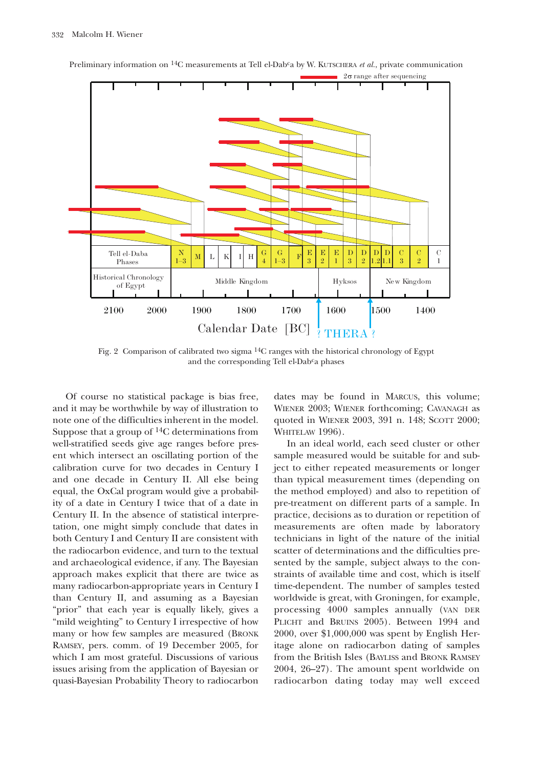

Preliminary information on <sup>14</sup>C measurements at Tell el-Dab<sup>c</sup>a by W. KUTSCHERA *et al.*, private communication

Fig. 2 Comparison of calibrated two sigma 14C ranges with the historical chronology of Egypt and the corresponding Tell el-Dab<sup>c</sup>a phases

Of course no statistical package is bias free, and it may be worthwhile by way of illustration to note one of the difficulties inherent in the model. Suppose that a group of  ${}^{14}C$  determinations from well-stratified seeds give age ranges before present which intersect an oscillating portion of the calibration curve for two decades in Century I and one decade in Century II. All else being equal, the OxCal program would give a probability of a date in Century I twice that of a date in Century II. In the absence of statistical interpretation, one might simply conclude that dates in both Century I and Century II are consistent with the radiocarbon evidence, and turn to the textual and archaeological evidence, if any. The Bayesian approach makes explicit that there are twice as many radiocarbon-appropriate years in Century I than Century II, and assuming as a Bayesian "prior" that each year is equally likely, gives a "mild weighting" to Century I irrespective of how many or how few samples are measured (BRONK RAMSEY, pers. comm. of 19 December 2005, for which I am most grateful. Discussions of various issues arising from the application of Bayesian or quasi-Bayesian Probability Theory to radiocarbon

dates may be found in MARCUS, this volume; WIENER 2003; WIENER forthcoming; CAVANAGH as quoted in WIENER 2003, 391 n. 148; SCOTT 2000; WHITELAW 1996).

In an ideal world, each seed cluster or other sample measured would be suitable for and subject to either repeated measurements or longer than typical measurement times (depending on the method employed) and also to repetition of pre-treatment on different parts of a sample. In practice, decisions as to duration or repetition of measurements are often made by laboratory technicians in light of the nature of the initial scatter of determinations and the difficulties presented by the sample, subject always to the constraints of available time and cost, which is itself time-dependent. The number of samples tested worldwide is great, with Groningen, for example, processing 4000 samples annually (VAN DER PLICHT and BRUINS 2005). Between 1994 and 2000, over \$1,000,000 was spent by English Heritage alone on radiocarbon dating of samples from the British Isles (BAYLISS and BRONK RAMSEY 2004, 26–27). The amount spent worldwide on radiocarbon dating today may well exceed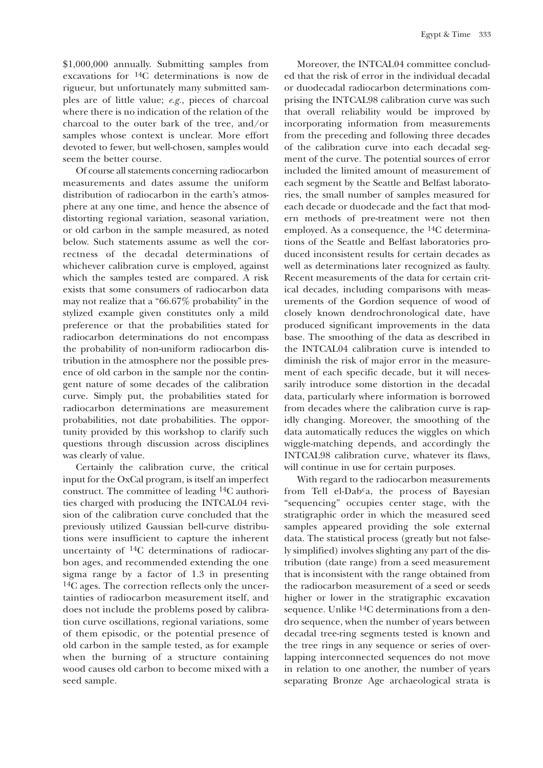\$1,000,000 annually. Submitting samples from excavations for 14C determinations is now de rigueur, but unfortunately many submitted samples are of little value; *e.g.,* pieces of charcoal where there is no indication of the relation of the charcoal to the outer bark of the tree, and/or samples whose context is unclear. More effort devoted to fewer, but well-chosen, samples would seem the better course.

Of course all statements concerning radiocarbon measurements and dates assume the uniform distribution of radiocarbon in the earth's atmosphere at any one time, and hence the absence of distorting regional variation, seasonal variation, or old carbon in the sample measured, as noted below. Such statements assume as well the correctness of the decadal determinations of whichever calibration curve is employed, against which the samples tested are compared. A risk exists that some consumers of radiocarbon data may not realize that a "66.67% probability" in the stylized example given constitutes only a mild preference or that the probabilities stated for radiocarbon determinations do not encompass the probability of non-uniform radiocarbon distribution in the atmosphere nor the possible presence of old carbon in the sample nor the contingent nature of some decades of the calibration curve. Simply put, the probabilities stated for radiocarbon determinations are measurement probabilities, not date probabilities. The opportunity provided by this workshop to clarify such questions through discussion across disciplines was clearly of value.

Certainly the calibration curve, the critical input for the OxCal program, is itself an imperfect construct. The committee of leading 14C authorities charged with producing the INTCAL04 revision of the calibration curve concluded that the previously utilized Gaussian bell-curve distributions were insufficient to capture the inherent uncertainty of 14C determinations of radiocarbon ages, and recommended extending the one sigma range by a factor of 1.3 in presenting 14C ages. The correction reflects only the uncertainties of radiocarbon measurement itself, and does not include the problems posed by calibration curve oscillations, regional variations, some of them episodic, or the potential presence of old carbon in the sample tested, as for example when the burning of a structure containing wood causes old carbon to become mixed with a seed sample.

Moreover, the INTCAL04 committee concluded that the risk of error in the individual decadal or duodecadal radiocarbon determinations comprising the INTCAL98 calibration curve was such that overall reliability would be improved by incorporating information from measurements from the preceding and following three decades of the calibration curve into each decadal segment of the curve. The potential sources of error included the limited amount of measurement of each segment by the Seattle and Belfast laboratories, the small number of samples measured for each decade or duodecade and the fact that modern methods of pre-treatment were not then employed. As a consequence, the  ${}^{14}C$  determinations of the Seattle and Belfast laboratories produced inconsistent results for certain decades as well as determinations later recognized as faulty. Recent measurements of the data for certain critical decades, including comparisons with measurements of the Gordion sequence of wood of closely known dendrochronological date, have produced significant improvements in the data base. The smoothing of the data as described in the INTCAL04 calibration curve is intended to diminish the risk of major error in the measurement of each specific decade, but it will necessarily introduce some distortion in the decadal data, particularly where information is borrowed from decades where the calibration curve is rapidly changing. Moreover, the smoothing of the data automatically reduces the wiggles on which wiggle-matching depends, and accordingly the INTCAL98 calibration curve, whatever its flaws, will continue in use for certain purposes.

With regard to the radiocarbon measurements from Tell el-Dab<sup>c</sup>a, the process of Bayesian "sequencing" occupies center stage, with the stratigraphic order in which the measured seed samples appeared providing the sole external data. The statistical process (greatly but not falsely simplified) involves slighting any part of the distribution (date range) from a seed measurement that is inconsistent with the range obtained from the radiocarbon measurement of a seed or seeds higher or lower in the stratigraphic excavation sequence. Unlike 14C determinations from a dendro sequence, when the number of years between decadal tree-ring segments tested is known and the tree rings in any sequence or series of overlapping interconnected sequences do not move in relation to one another, the number of years separating Bronze Age archaeological strata is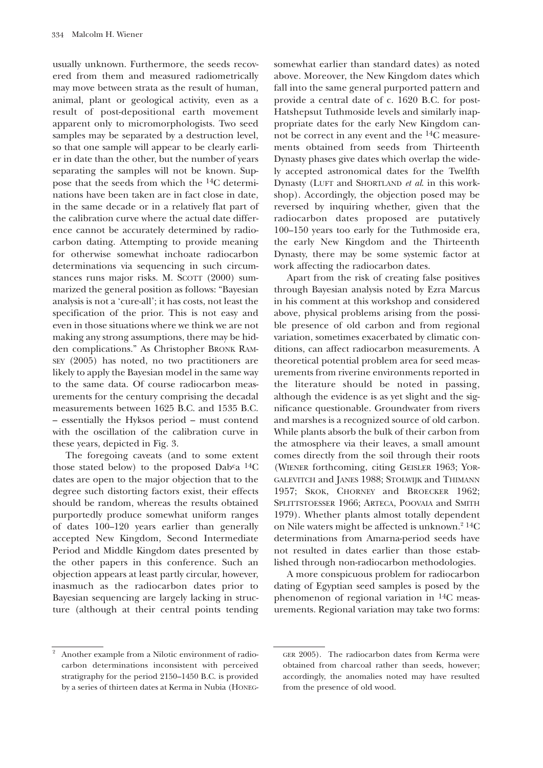usually unknown. Furthermore, the seeds recovered from them and measured radiometrically may move between strata as the result of human, animal, plant or geological activity, even as a result of post-depositional earth movement apparent only to micromorphologists. Two seed samples may be separated by a destruction level, so that one sample will appear to be clearly earlier in date than the other, but the number of years separating the samples will not be known. Suppose that the seeds from which the 14C determinations have been taken are in fact close in date, in the same decade or in a relatively flat part of the calibration curve where the actual date difference cannot be accurately determined by radiocarbon dating. Attempting to provide meaning for otherwise somewhat inchoate radiocarbon determinations via sequencing in such circumstances runs major risks. M. SCOTT (2000) summarized the general position as follows: "Bayesian analysis is not a 'cure-all'; it has costs, not least the specification of the prior. This is not easy and even in those situations where we think we are not making any strong assumptions, there may be hidden complications." As Christopher BRONK RAM-SEY (2005) has noted, no two practitioners are likely to apply the Bayesian model in the same way to the same data. Of course radiocarbon measurements for the century comprising the decadal measurements between 1625 B.C. and 1535 B.C. – essentially the Hyksos period – must contend with the oscillation of the calibration curve in these years, depicted in Fig. 3.

The foregoing caveats (and to some extent those stated below) to the proposed Dab<sup>c</sup>a  $^{14}C$ dates are open to the major objection that to the degree such distorting factors exist, their effects should be random, whereas the results obtained purportedly produce somewhat uniform ranges of dates 100–120 years earlier than generally accepted New Kingdom, Second Intermediate Period and Middle Kingdom dates presented by the other papers in this conference. Such an objection appears at least partly circular, however, inasmuch as the radiocarbon dates prior to Bayesian sequencing are largely lacking in structure (although at their central points tending somewhat earlier than standard dates) as noted above. Moreover, the New Kingdom dates which fall into the same general purported pattern and provide a central date of c. 1620 B.C. for post-Hatshepsut Tuthmoside levels and similarly inappropriate dates for the early New Kingdom cannot be correct in any event and the 14C measurements obtained from seeds from Thirteenth Dynasty phases give dates which overlap the widely accepted astronomical dates for the Twelfth Dynasty (LUFT and SHORTLAND *et al*. in this workshop). Accordingly, the objection posed may be reversed by inquiring whether, given that the radiocarbon dates proposed are putatively 100–150 years too early for the Tuthmoside era, the early New Kingdom and the Thirteenth Dynasty, there may be some systemic factor at work affecting the radiocarbon dates.

Apart from the risk of creating false positives through Bayesian analysis noted by Ezra Marcus in his comment at this workshop and considered above, physical problems arising from the possible presence of old carbon and from regional variation, sometimes exacerbated by climatic conditions, can affect radiocarbon measurements. A theoretical potential problem area for seed measurements from riverine environments reported in the literature should be noted in passing, although the evidence is as yet slight and the significance questionable. Groundwater from rivers and marshes is a recognized source of old carbon. While plants absorb the bulk of their carbon from the atmosphere via their leaves, a small amount comes directly from the soil through their roots (WIENER forthcoming, citing GEISLER 1963; YOR-GALEVITCH and JANES 1988; STOLWIJK and THIMANN 1957; SKOK, CHORNEY and BROECKER 1962; SPLITTSTOESSER 1966; ARTECA, POOVAIA and SMITH 1979). Whether plants almost totally dependent on Nile waters might be affected is unknown.<sup>2</sup> <sup>14</sup>C determinations from Amarna-period seeds have not resulted in dates earlier than those established through non-radiocarbon methodologies.

A more conspicuous problem for radiocarbon dating of Egyptian seed samples is posed by the phenomenon of regional variation in 14C measurements. Regional variation may take two forms:

<sup>2</sup> Another example from a Nilotic environment of radiocarbon determinations inconsistent with perceived stratigraphy for the period 2150–1450 B.C. is provided by a series of thirteen dates at Kerma in Nubia (HONEG-

GER 2005). The radiocarbon dates from Kerma were obtained from charcoal rather than seeds, however; accordingly, the anomalies noted may have resulted from the presence of old wood.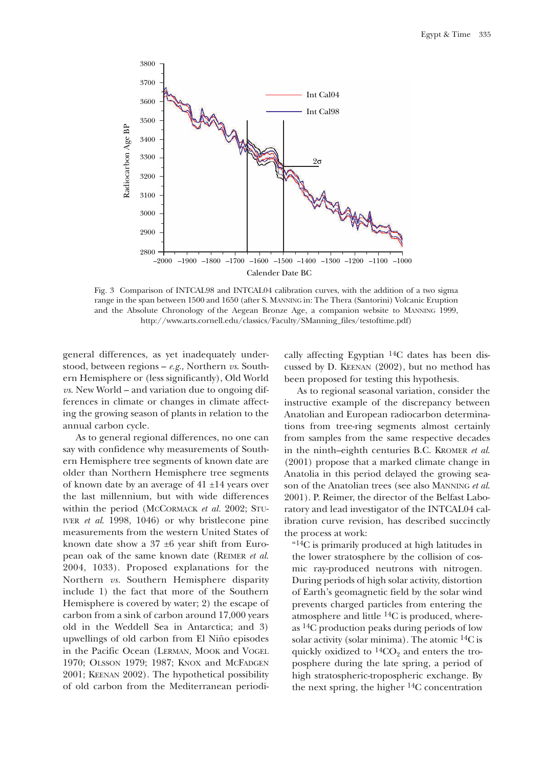

Fig. 3 Comparison of INTCAL98 and INTCAL04 calibration curves, with the addition of a two sigma range in the span between 1500 and 1650 (after S. MANNING in: The Thera (Santorini) Volcanic Eruption and the Absolute Chronology of the Aegean Bronze Age, a companion website to MANNING 1999, http://www.arts.cornell.edu/classics/Faculty/SManning\_files/testoftime.pdf)

general differences, as yet inadequately understood, between regions – *e.g*., Northern *vs*. Southern Hemisphere or (less significantly), Old World *vs*. New World – and variation due to ongoing differences in climate or changes in climate affecting the growing season of plants in relation to the annual carbon cycle.

As to general regional differences, no one can say with confidence why measurements of Southern Hemisphere tree segments of known date are older than Northern Hemisphere tree segments of known date by an average of 41 ±14 years over the last millennium, but with wide differences within the period (MCCORMACK *et al.* 2002; STU-IVER *et al*. 1998, 1046) or why bristlecone pine measurements from the western United States of known date show a 37 ±6 year shift from European oak of the same known date (REIMER *et al*. 2004, 1033). Proposed explanations for the Northern *vs.* Southern Hemisphere disparity include 1) the fact that more of the Southern Hemisphere is covered by water; 2) the escape of carbon from a sink of carbon around 17,000 years old in the Weddell Sea in Antarctica; and 3) upwellings of old carbon from El Niño episodes in the Pacific Ocean (LERMAN, MOOK and VOGEL 1970; OLSSON 1979; 1987; KNOX and MCFADGEN 2001; KEENAN 2002). The hypothetical possibility of old carbon from the Mediterranean periodically affecting Egyptian  $14C$  dates has been discussed by D. KEENAN (2002), but no method has been proposed for testing this hypothesis.

As to regional seasonal variation, consider the instructive example of the discrepancy between Anatolian and European radiocarbon determinations from tree-ring segments almost certainly from samples from the same respective decades in the ninth–eighth centuries B.C. KROMER *et al*. (2001) propose that a marked climate change in Anatolia in this period delayed the growing season of the Anatolian trees (see also MANNING *et al*. 2001). P. Reimer, the director of the Belfast Laboratory and lead investigator of the INTCAL04 calibration curve revision, has described succinctly the process at work:

"14C is primarily produced at high latitudes in the lower stratosphere by the collision of cosmic ray-produced neutrons with nitrogen. During periods of high solar activity, distortion of Earth's geomagnetic field by the solar wind prevents charged particles from entering the atmosphere and little 14C is produced, whereas 14C production peaks during periods of low solar activity (solar minima). The atomic  ${}^{14}C$  is quickly oxidized to  ${}^{14}CO_2$  and enters the troposphere during the late spring, a period of high stratospheric-tropospheric exchange. By the next spring, the higher  $14C$  concentration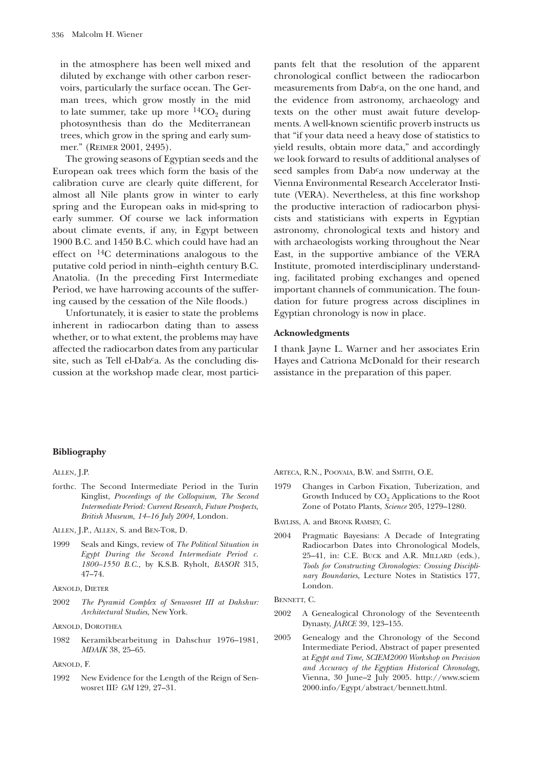in the atmosphere has been well mixed and diluted by exchange with other carbon reservoirs, particularly the surface ocean. The German trees, which grow mostly in the mid to late summer, take up more  ${}^{14}CO_2$  during photosynthesis than do the Mediterranean trees, which grow in the spring and early summer." (REIMER 2001, 2495).

The growing seasons of Egyptian seeds and the European oak trees which form the basis of the calibration curve are clearly quite different, for almost all Nile plants grow in winter to early spring and the European oaks in mid-spring to early summer. Of course we lack information about climate events, if any, in Egypt between 1900 B.C. and 1450 B.C. which could have had an effect on 14C determinations analogous to the putative cold period in ninth–eighth century B.C. Anatolia. (In the preceding First Intermediate Period, we have harrowing accounts of the suffering caused by the cessation of the Nile floods.)

Unfortunately, it is easier to state the problems inherent in radiocarbon dating than to assess whether, or to what extent, the problems may have affected the radiocarbon dates from any particular site, such as Tell el-Dab<sup>c</sup>a. As the concluding discussion at the workshop made clear, most partici-

pants felt that the resolution of the apparent chronological conflict between the radiocarbon measurements from Dab<sup>c</sup>a, on the one hand, and the evidence from astronomy, archaeology and texts on the other must await future developments. A well-known scientific proverb instructs us that "if your data need a heavy dose of statistics to yield results, obtain more data," and accordingly we look forward to results of additional analyses of seed samples from Dab<sup>c</sup>a now underway at the Vienna Environmental Research Accelerator Institute (VERA). Nevertheless, at this fine workshop the productive interaction of radiocarbon physicists and statisticians with experts in Egyptian astronomy, chronological texts and history and with archaeologists working throughout the Near East, in the supportive ambiance of the VERA Institute, promoted interdisciplinary understanding, facilitated probing exchanges and opened important channels of communication. The foundation for future progress across disciplines in Egyptian chronology is now in place.

#### **Acknowledgments**

I thank Jayne L. Warner and her associates Erin Hayes and Catriona McDonald for their research assistance in the preparation of this paper.

#### **Bibliography**

ALLEN, J.P.

forthc. The Second Intermediate Period in the Turin Kinglist, *Proceedings of the Colloquium, The Second Intermediate Period: Current Research, Future Prospects, British Museum, 14–16 July 2004,* London.

ALLEN, J.P., ALLEN, S. and BEN-TOR, D.

1999 Seals and Kings, review of *The Political Situation in Egypt During the Second Intermediate Period c. 1800–1550 B.C.,* by K.S.B. Ryholt, *BASOR* 315, 47–74.

ARNOLD, DIETER

2002 *The Pyramid Complex of Senwosret III at Dahshur: Architectural Studies*, New York.

ARNOLD, DOROTHEA

1982 Keramikbearbeitung in Dahschur 1976–1981, *MDAIK* 38, 25–65.

ARNOLD, F.

1992 New Evidence for the Length of the Reign of Senwosret III? *GM* 129, 27–31.

ARTECA, R.N., POOVAIA, B.W. and SMITH, O.E.

1979 Changes in Carbon Fixation, Tuberization, and Growth Induced by  $CO<sub>2</sub>$  Applications to the Root Zone of Potato Plants, *Science* 205, 1279–1280.

BAYLISS, A. and BRONK RAMSEY, C.

2004 Pragmatic Bayesians: A Decade of Integrating Radiocarbon Dates into Chronological Models, 25–41, in: C.E. BUCK and A.R. MILLARD (eds.), *Tools for Constructing Chronologies: Crossing Disciplinary Boundaries,* Lecture Notes in Statistics 177, London.

BENNETT, C.

- 2002 A Genealogical Chronology of the Seventeenth Dynasty, *JARCE* 39, 123–155.
- 2005 Genealogy and the Chronology of the Second Intermediate Period, Abstract of paper presented at *Egypt and Time, SCIEM2000 Workshop on Precision and Accuracy of the Egyptian Historical Chronology,* Vienna, 30 June–2 July 2005. http://www.sciem 2000.info/Egypt/abstract/bennett.html.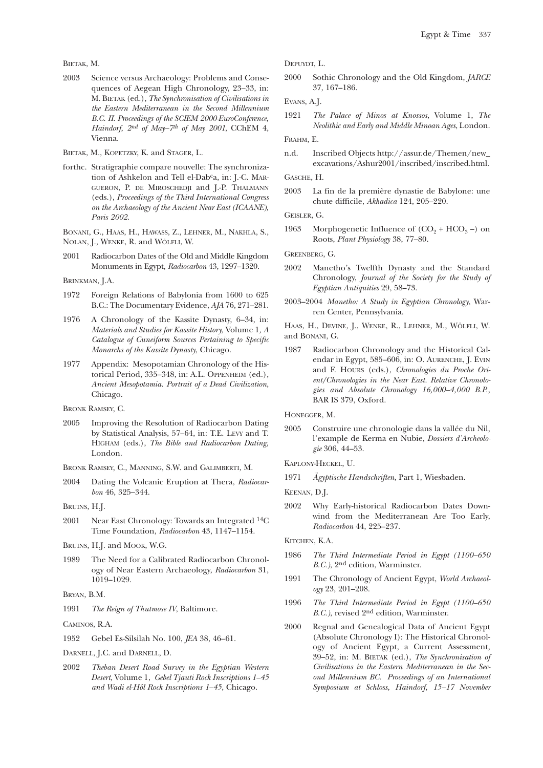BIETAK, M.

2003 Science versus Archaeology: Problems and Consequences of Aegean High Chronology, 23–33, in: M. BIETAK (ed.), *The Synchronisation of Civilisations in the Eastern Mediterranean in the Second Millennium B.C. II*. *Proceedings of the SCIEM 2000-EuroConference, Haindorf, 2nd of May–7th of May 2001*, CChEM 4, Vienna.

BIETAK, M., KOPETZKY, K. and STAGER, L.

forthc. Stratigraphie compare nouvelle: The synchronization of Ashkelon and Tell el-Dab<sup>c</sup>a, in: J.-C. MAR-GUERON, P. DE MIROSCHEDJI and J.-P. THALMANN (eds.), *Proceedings of the Third International Congress on the Archaeology of the Ancient Near East (ICAANE), Paris 2002*.

BONANI, G., HAAS, H., HAWASS, Z., LEHNER, M., NAKHLA, S., NOLAN, J., WENKE, R. and WÖLFLI, W.

2001 Radiocarbon Dates of the Old and Middle Kingdom Monuments in Egypt, *Radiocarbon* 43, 1297–1320.

BRINKMAN, J.A.

- 1972 Foreign Relations of Babylonia from 1600 to 625 B.C.: The Documentary Evidence, *AJA* 76, 271–281.
- 1976 A Chronology of the Kassite Dynasty, 6–34, in: *Materials and Studies for Kassite History,* Volume 1*, A Catalogue of Cuneiform Sources Pertaining to Specific Monarchs of the Kassite Dynasty*, Chicago.
- 1977 Appendix: Mesopotamian Chronology of the Historical Period, 335–348, in: A.L. OPPENHEIM (ed.), *Ancient Mesopotamia. Portrait of a Dead Civilization*, Chicago.

BRONK RAMSEY, C.

2005 Improving the Resolution of Radiocarbon Dating by Statistical Analysis, 57–64, in: T.E. LEVY and T. HIGHAM (eds.), *The Bible and Radiocarbon Dating,* London.

BRONK RAMSEY, C., MANNING, S.W. and GALIMBERTI, M.

2004 Dating the Volcanic Eruption at Thera, *Radiocarbon* 46, 325–344.

BRUINS, H.J.

- 2001 Near East Chronology: Towards an Integrated 14C Time Foundation, *Radiocarbon* 43, 1147–1154.
- BRUINS, H.J. and MOOK, W.G.
- 1989 The Need for a Calibrated Radiocarbon Chronology of Near Eastern Archaeology, *Radiocarbon* 31, 1019–1029.

BRYAN, B.M.

1991 *The Reign of Thutmose IV*, Baltimore.

CAMINOS, R.A.

- 1952 Gebel Es-Silsilah No. 100, *JEA* 38, 46–61.
- DARNELL, J.C. and DARNELL, D.
- 2002 *Theban Desert Road Survey in the Egyptian Western Desert,* Volume 1, *Gebel Tjauti Rock Inscriptions 1–45 and Wadi el-Hôl Rock Inscriptions 1–45*, Chicago.

DEPUYDT, L.

2000 Sothic Chronology and the Old Kingdom, *JARCE* 37, 167–186.

EVANS, A.J.

1921 *The Palace of Minos at Knossos,* Volume 1, *The Neolithic and Early and Middle Minoan Ages*, London.

FRAHM, E.

n.d. Inscribed Objects http://assur.de/Themen/new\_ excavations/Ashur2001/inscribed/inscribed.html.

GASCHE, H.

2003 La fin de la première dynastie de Babylone: une chute difficile, *Akkadica* 124, 205–220.

GEISLER, G.

1963 Morphogenetic Influence of  $(CO_2 + HCO_3 -)$  on Roots, *Plant Physiology* 38, 77–80.

GREENBERG, G.

- 2002 Manetho's Twelfth Dynasty and the Standard Chronology, *Journal of the Society for the Study of Egyptian Antiquities* 29, 58–73.
- 2003–2004 *Manetho: A Study in Egyptian Chronology*, Warren Center, Pennsylvania.

HAAS, H., DEVINE, J., WENKE, R., LEHNER, M., WÖLFLI, W. and BONANI, G.

1987 Radiocarbon Chronology and the Historical Calendar in Egypt, 585–606, in: O. AURENCHE, J. EVIN and F. HOURS (eds.), *Chronologies du Proche Orient/Chronologies in the Near East. Relative Chronologies and Absolute Chronology 16,000–4,000 B.P.*, BAR IS 379, Oxford.

HONEGGER, M.

2005 Construire une chronologie dans la vallée du Nil, l'example de Kerma en Nubie, *Dossiers d'Archeologie* 306, 44–53.

KAPLONY-HECKEL, U.

1971 *Ägyptische Handschriften*, Part 1, Wiesbaden.

KEENAN, D.J.

2002 Why Early-historical Radiocarbon Dates Downwind from the Mediterranean Are Too Early, *Radiocarbon* 44, 225–237.

KITCHEN, K.A.

- 1986 *The Third Intermediate Period in Egypt (1100–650 B.C.)*, 2nd edition, Warminster.
- 1991 The Chronology of Ancient Egypt, *World Archaeology* 23, 201–208.
- 1996 *The Third Intermediate Period in Egypt (1100–650 B.C.)*, revised 2nd edition, Warminster.
- 2000 Regnal and Genealogical Data of Ancient Egypt (Absolute Chronology I): The Historical Chronology of Ancient Egypt, a Current Assessment, 39–52, in: M. BIETAK (ed.), *The Synchronisation of Civilisations in the Eastern Mediterranean in the Second Millennium BC*. *Proceedings of an International Symposium at Schloss, Haindorf, 15–17 November*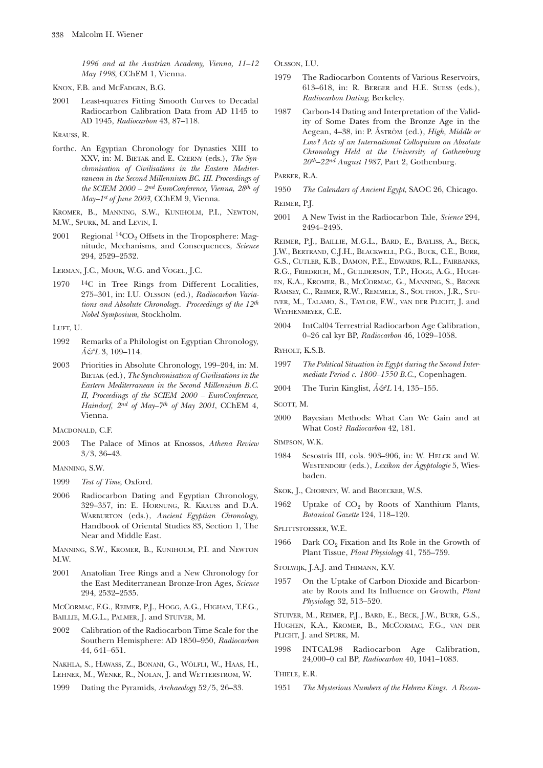*1996 and at the Austrian Academy, Vienna, 11–12 May 1998*, CChEM 1, Vienna.

- KNOX, F.B. and MCFADGEN, B.G.
- 2001 Least-squares Fitting Smooth Curves to Decadal Radiocarbon Calibration Data from AD 1145 to AD 1945, *Radiocarbon* 43, 87–118.

KRAUSS, R.

forthc. An Egyptian Chronology for Dynasties XIII to XXV, in: M. BIETAK and E. CZERNY (eds.), *The Synchronisation of Civilisations in the Eastern Mediterranean in the Second Millennium BC. III. Proceedings of the SCIEM 2000 – 2nd EuroConference, Vienna, 28th of May–1st of June 2003,* CChEM 9, Vienna.

KROMER, B., MANNING, S.W., KUNIHOLM, P.I., NEWTON, M.W., SPURK, M. and LEVIN, I.

2001 Regional  ${}^{14}CO_9$  Offsets in the Troposphere: Magnitude, Mechanisms, and Consequences, *Science* 294, 2529–2532.

LERMAN, J.C., MOOK, W.G. and VOGEL, J.C.

1970 14C in Tree Rings from Different Localities, 275–301, in: I.U. OLSSON (ed.), *Radiocarbon Variations and Absolute Chronology. Proceedings of the 12th Nobel Symposium*, Stockholm.

LUFT, U.

- 1992 Remarks of a Philologist on Egyptian Chronology, *Ä&L* 3, 109–114.
- 2003 Priorities in Absolute Chronology, 199–204, in: M. BIETAK (ed.), *The Synchronisation of Civilisations in the Eastern Mediterranean in the Second Millennium B.C*. *II*, *Proceedings of the SCIEM 2000 – EuroConference, Haindorf, 2nd of May–7th of May 2001*, CChEM 4, Vienna.

MACDONALD, C.F.

2003 The Palace of Minos at Knossos, *Athena Review* 3/3, 36–43.

MANNING, S.W.

- 1999 *Test of Time*, Oxford.
- 2006 Radiocarbon Dating and Egyptian Chronology, 329–357, in: E. HORNUNG, R. KRAUSS and D.A. WARBURTON (eds.), *Ancient Egyptian Chronology,* Handbook of Oriental Studies 83, Section 1, The Near and Middle East.

MANNING, S.W., KROMER, B., KUNIHOLM, P.I. and NEWTON M.W.

2001 Anatolian Tree Rings and a New Chronology for the East Mediterranean Bronze-Iron Ages, *Science* 294, 2532–2535.

MCCORMAC, F.G., REIMER, P.J., HOGG, A.G., HIGHAM, T.F.G., BAILLIE, M.G.L., PALMER, J. and STUIVER, M.

2002 Calibration of the Radiocarbon Time Scale for the Southern Hemisphere: AD 1850–950, *Radiocarbon* 44, 641–651.

NAKHLA, S., HAWASS, Z., BONANI, G., WÖLFLI, W., HAAS, H., LEHNER, M., WENKE, R., NOLAN, J. and WETTERSTROM, W.

1999 Dating the Pyramids, *Archaeology* 52/5, 26–33.

OLSSON, I.U.

- 1979 The Radiocarbon Contents of Various Reservoirs, 613–618, in: R. BERGER and H.E. SUESS (eds.), *Radiocarbon Dating*, Berkeley.
- 1987 Carbon-14 Dating and Interpretation of the Validity of Some Dates from the Bronze Age in the Aegean, 4–38, in: P. ÅSTRÖM (ed.), *High, Middle or Low? Acts of an International Colloquium on Absolute Chronology Held at the University of Gothenburg 20th–22nd August 1987*, Part 2, Gothenburg.

PARKER, R.A.

1950 *The Calendars of Ancient Egypt*, SAOC 26, Chicago.

REIMER, P.J.

2001 A New Twist in the Radiocarbon Tale, *Science* 294, 2494–2495.

REIMER, P.J., BAILLIE, M.G.L., BARD, E., BAYLISS, A., BECK, J.W., BERTRAND, C.J.H., BLACKWELL, P.G., BUCK, C.E., BURR, G.S., CUTLER, K.B., DAMON, P.E., EDWARDS, R.L., FAIRBANKS, R.G., FRIEDRICH, M., GUILDERSON, T.P., HOGG, A.G., HUGH-EN, K.A., KROMER, B., MCCORMAC, G., MANNING, S., BRONK RAMSEY, C., REIMER, R.W., REMMELE, S., SOUTHON, J.R., STU-IVER, M., TALAMO, S., TAYLOR, F.W., VAN DER PLICHT, J. and WEYHENMEYER, C.E.

2004 IntCal04 Terrestrial Radiocarbon Age Calibration, 0–26 cal kyr BP, *Radiocarbon* 46, 1029–1058.

RYHOLT, K.S.B.

- 1997 *The Political Situation in Egypt during the Second Intermediate Period c. 1800–1550 B.C.,* Copenhagen.
- 2004 The Turin Kinglist, *Ä&L* 14, 135–155.

SCOTT, M.

2000 Bayesian Methods: What Can We Gain and at What Cost? *Radiocarbon* 42, 181.

SIMPSON, W.K.

- 1984 Sesostris III, cols. 903–906, in: W. HELCK and W. WESTENDORF (eds.), *Lexikon der Ägyptologie* 5, Wiesbaden.
- SKOK, J., CHORNEY, W. and BROECKER, W.S.
- 1962 Uptake of  $CO<sub>2</sub>$  by Roots of Xanthium Plants, *Botanical Gazette* 124, 118–120.
- SPLITTSTOESSER, W.E.
- 1966 Dark CO<sub>2</sub> Fixation and Its Role in the Growth of Plant Tissue, *Plant Physiology* 41, 755–759.
- STOLWIJK, J.A.J. and THIMANN, K.V.
- 1957 On the Uptake of Carbon Dioxide and Bicarbonate by Roots and Its Influence on Growth, *Plant Physiology* 32, 513–520.

STUIVER, M., REIMER, P.J., BARD, E., BECK, J.W., BURR, G.S., HUGHEN, K.A., KROMER, B., MCCORMAC, F.G., VAN DER PLICHT, J. and SPURK, M.

1998 INTCAL98 Radiocarbon Age Calibration, 24,000–0 cal BP, *Radiocarbon* 40, 1041–1083.

THIELE, E.R.

1951 *The Mysterious Numbers of the Hebrew Kings. A Recon-*